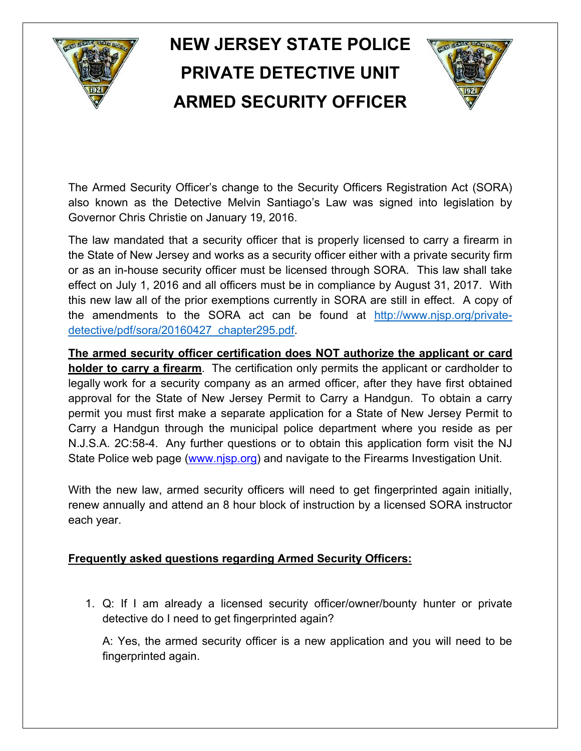## **NEW JERSEY STATE POLICE PRIVATE DETECTIVE UNIT ARMED SECURITY OFFICER**



The Armed Security Officer's change to the Security Officers Registration Act (SORA) also known as the Detective Melvin Santiago's Law was signed into legislation by Governor Chris Christie on January 19, 2016.

The law mandated that a security officer that is properly licensed to carry a firearm in the State of New Jersey and works as a security officer either with a private security firm or as an in-house security officer must be licensed through SORA. This law shall take effect on July 1, 2016 and all officers must be in compliance by August 31, 2017. With this new law all of the prior exemptions currently in SORA are still in effect. A copy of the amendments to the SORA act can be found at http://www.njsp.org/privatedetective/pdf/sora/20160427\_chapter295.pdf.

**The armed security officer certification does NOT authorize the applicant or card holder to carry a firearm**. The certification only permits the applicant or cardholder to legally work for a security company as an armed officer, after they have first obtained approval for the State of New Jersey Permit to Carry a Handgun. To obtain a carry permit you must first make a separate application for a State of New Jersey Permit to Carry a Handgun through the municipal police department where you reside as per N.J.S.A. 2C:58-4. Any further questions or to obtain this application form visit the NJ State Police web page (www.njsp.org) and navigate to the Firearms Investigation Unit.

With the new law, armed security officers will need to get fingerprinted again initially, renew annually and attend an 8 hour block of instruction by a licensed SORA instructor each year.

## **Frequently asked questions regarding Armed Security Officers:**

1. Q: If I am already a licensed security officer/owner/bounty hunter or private detective do I need to get fingerprinted again?

A: Yes, the armed security officer is a new application and you will need to be fingerprinted again.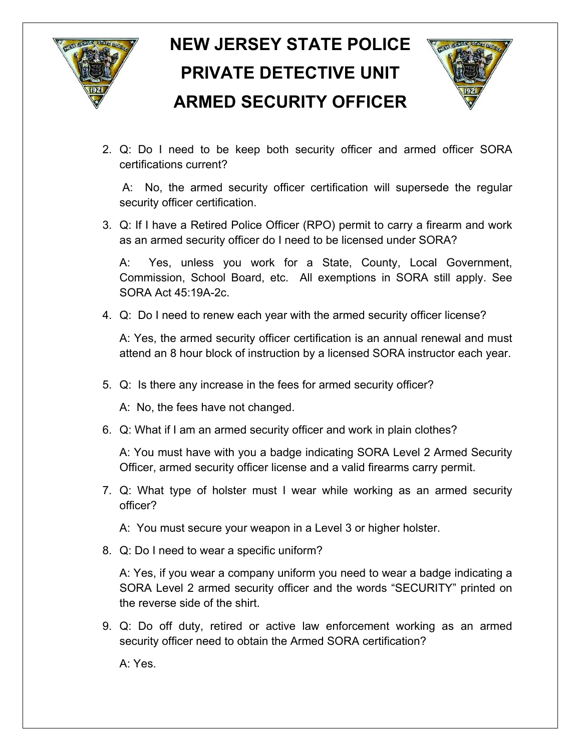

## **NEW JERSEY STATE POLICE PRIVATE DETECTIVE UNIT ARMED SECURITY OFFICER**



2. Q: Do I need to be keep both security officer and armed officer SORA certifications current?

A: No, the armed security officer certification will supersede the regular security officer certification.

3. Q: If I have a Retired Police Officer (RPO) permit to carry a firearm and work as an armed security officer do I need to be licensed under SORA?

A: Yes, unless you work for a State, County, Local Government, Commission, School Board, etc. All exemptions in SORA still apply. See SORA Act 45:19A-2c.

4. Q: Do I need to renew each year with the armed security officer license?

A: Yes, the armed security officer certification is an annual renewal and must attend an 8 hour block of instruction by a licensed SORA instructor each year.

5. Q: Is there any increase in the fees for armed security officer?

A: No, the fees have not changed.

6. Q: What if I am an armed security officer and work in plain clothes?

A: You must have with you a badge indicating SORA Level 2 Armed Security Officer, armed security officer license and a valid firearms carry permit.

- 7. Q: What type of holster must I wear while working as an armed security officer?
	- A: You must secure your weapon in a Level 3 or higher holster.
- 8. Q: Do I need to wear a specific uniform?

A: Yes, if you wear a company uniform you need to wear a badge indicating a SORA Level 2 armed security officer and the words "SECURITY" printed on the reverse side of the shirt.

9. Q: Do off duty, retired or active law enforcement working as an armed security officer need to obtain the Armed SORA certification?

A: Yes.